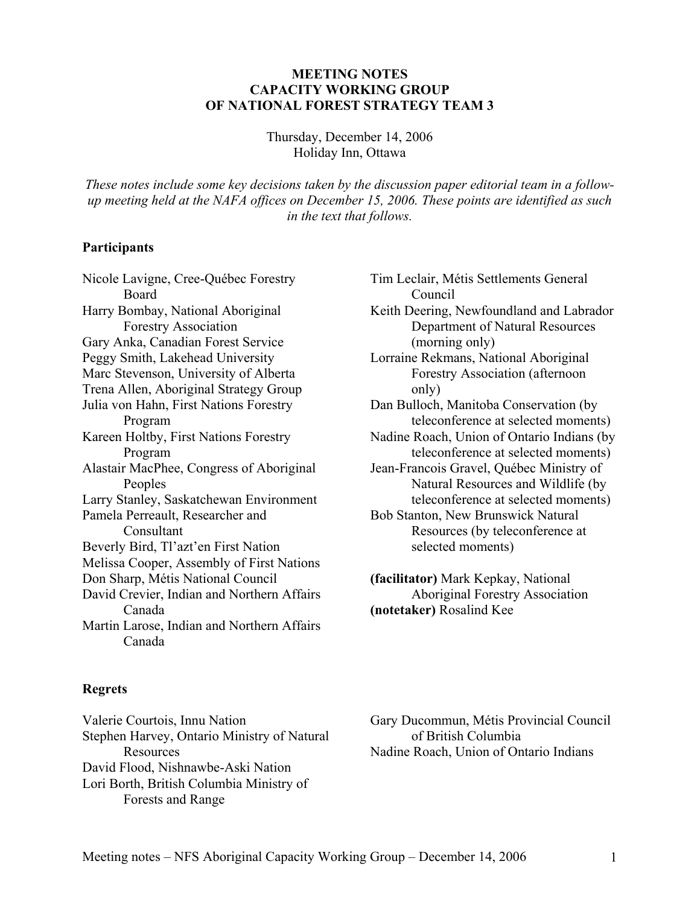#### **MEETING NOTES CAPACITY WORKING GROUP OF NATIONAL FOREST STRATEGY TEAM 3**

Thursday, December 14, 2006 Holiday Inn, Ottawa

*These notes include some key decisions taken by the discussion paper editorial team in a followup meeting held at the NAFA offices on December 15, 2006. These points are identified as such in the text that follows.* 

#### **Participants**

Nicole Lavigne, Cree-Québec Forestry Board Harry Bombay, National Aboriginal Forestry Association Gary Anka, Canadian Forest Service Peggy Smith, Lakehead University Marc Stevenson, University of Alberta Trena Allen, Aboriginal Strategy Group Julia von Hahn, First Nations Forestry Program Kareen Holtby, First Nations Forestry Program Alastair MacPhee, Congress of Aboriginal Peoples Larry Stanley, Saskatchewan Environment Pamela Perreault, Researcher and Consultant Beverly Bird, Tl'azt'en First Nation Melissa Cooper, Assembly of First Nations Don Sharp, Métis National Council David Crevier, Indian and Northern Affairs Canada Martin Larose, Indian and Northern Affairs Canada

# Tim Leclair, Métis Settlements General Council Keith Deering, Newfoundland and Labrador Department of Natural Resources (morning only) Lorraine Rekmans, National Aboriginal Forestry Association (afternoon only) Dan Bulloch, Manitoba Conservation (by teleconference at selected moments) Nadine Roach, Union of Ontario Indians (by teleconference at selected moments) Jean-Francois Gravel, Québec Ministry of Natural Resources and Wildlife (by teleconference at selected moments) Bob Stanton, New Brunswick Natural Resources (by teleconference at selected moments) **(facilitator)** Mark Kepkay, National Aboriginal Forestry Association

**(notetaker)** Rosalind Kee

#### **Regrets**

Valerie Courtois, Innu Nation Stephen Harvey, Ontario Ministry of Natural Resources David Flood, Nishnawbe-Aski Nation Lori Borth, British Columbia Ministry of Forests and Range

Gary Ducommun, Métis Provincial Council of British Columbia Nadine Roach, Union of Ontario Indians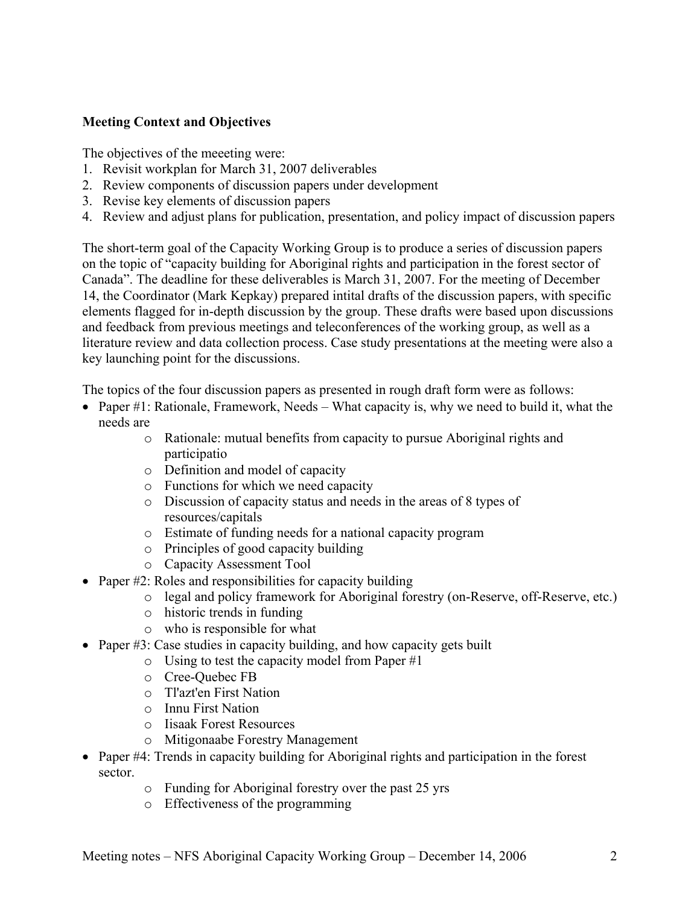# **Meeting Context and Objectives**

The objectives of the meeeting were:

- 1. Revisit workplan for March 31, 2007 deliverables
- 2. Review components of discussion papers under development
- 3. Revise key elements of discussion papers
- 4. Review and adjust plans for publication, presentation, and policy impact of discussion papers

The short-term goal of the Capacity Working Group is to produce a series of discussion papers on the topic of "capacity building for Aboriginal rights and participation in the forest sector of Canada". The deadline for these deliverables is March 31, 2007. For the meeting of December 14, the Coordinator (Mark Kepkay) prepared intital drafts of the discussion papers, with specific elements flagged for in-depth discussion by the group. These drafts were based upon discussions and feedback from previous meetings and teleconferences of the working group, as well as a literature review and data collection process. Case study presentations at the meeting were also a key launching point for the discussions.

The topics of the four discussion papers as presented in rough draft form were as follows:

- Paper #1: Rationale, Framework, Needs What capacity is, why we need to build it, what the needs are
	- o Rationale: mutual benefits from capacity to pursue Aboriginal rights and participatio
	- o Definition and model of capacity
	- o Functions for which we need capacity
	- o Discussion of capacity status and needs in the areas of 8 types of resources/capitals
	- o Estimate of funding needs for a national capacity program
	- o Principles of good capacity building
	- o Capacity Assessment Tool
- Paper #2: Roles and responsibilities for capacity building
	- o legal and policy framework for Aboriginal forestry (on-Reserve, off-Reserve, etc.)
	- o historic trends in funding
	- o who is responsible for what
- Paper #3: Case studies in capacity building, and how capacity gets built
	- o Using to test the capacity model from Paper #1
	- o Cree-Quebec FB
	- o Tl'azt'en First Nation
	- o Innu First Nation
	- o Iisaak Forest Resources
	- o Mitigonaabe Forestry Management
- Paper #4: Trends in capacity building for Aboriginal rights and participation in the forest sector.
	- o Funding for Aboriginal forestry over the past 25 yrs
	- o Effectiveness of the programming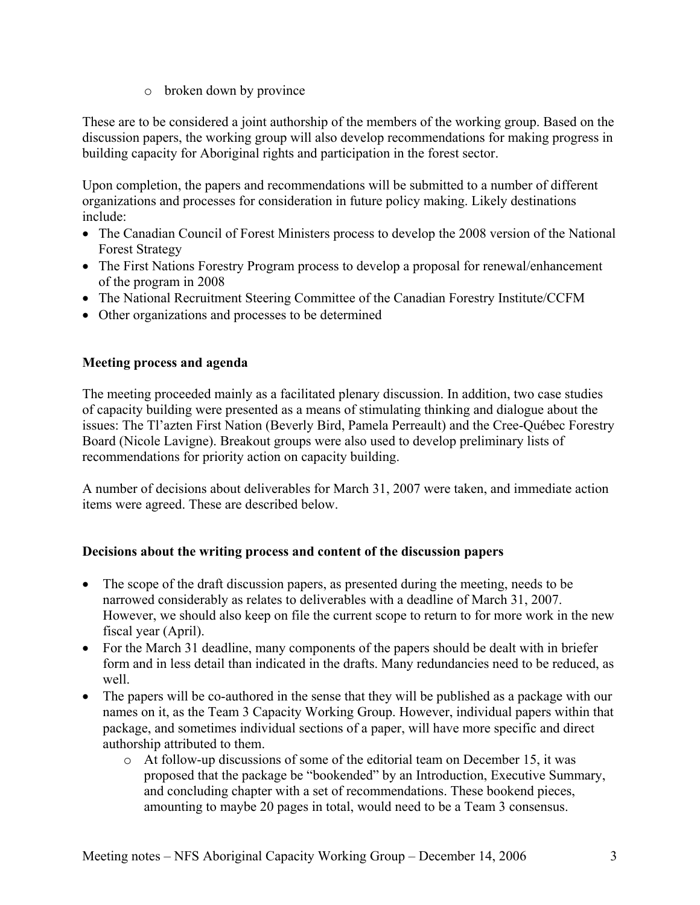o broken down by province

These are to be considered a joint authorship of the members of the working group. Based on the discussion papers, the working group will also develop recommendations for making progress in building capacity for Aboriginal rights and participation in the forest sector.

Upon completion, the papers and recommendations will be submitted to a number of different organizations and processes for consideration in future policy making. Likely destinations include:

- The Canadian Council of Forest Ministers process to develop the 2008 version of the National Forest Strategy
- The First Nations Forestry Program process to develop a proposal for renewal/enhancement of the program in 2008
- The National Recruitment Steering Committee of the Canadian Forestry Institute/CCFM
- Other organizations and processes to be determined

# **Meeting process and agenda**

The meeting proceeded mainly as a facilitated plenary discussion. In addition, two case studies of capacity building were presented as a means of stimulating thinking and dialogue about the issues: The Tl'azten First Nation (Beverly Bird, Pamela Perreault) and the Cree-Québec Forestry Board (Nicole Lavigne). Breakout groups were also used to develop preliminary lists of recommendations for priority action on capacity building.

A number of decisions about deliverables for March 31, 2007 were taken, and immediate action items were agreed. These are described below.

#### **Decisions about the writing process and content of the discussion papers**

- The scope of the draft discussion papers, as presented during the meeting, needs to be narrowed considerably as relates to deliverables with a deadline of March 31, 2007. However, we should also keep on file the current scope to return to for more work in the new fiscal year (April).
- For the March 31 deadline, many components of the papers should be dealt with in briefer form and in less detail than indicated in the drafts. Many redundancies need to be reduced, as well.
- The papers will be co-authored in the sense that they will be published as a package with our names on it, as the Team 3 Capacity Working Group. However, individual papers within that package, and sometimes individual sections of a paper, will have more specific and direct authorship attributed to them.
	- o At follow-up discussions of some of the editorial team on December 15, it was proposed that the package be "bookended" by an Introduction, Executive Summary, and concluding chapter with a set of recommendations. These bookend pieces, amounting to maybe 20 pages in total, would need to be a Team 3 consensus.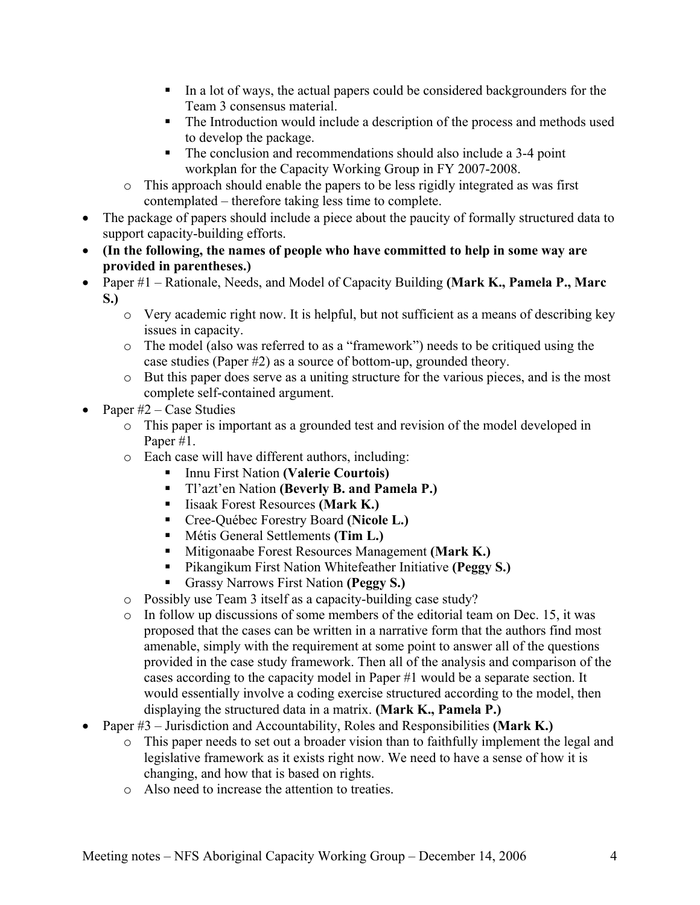- In a lot of ways, the actual papers could be considered backgrounders for the Team 3 consensus material.
- The Introduction would include a description of the process and methods used to develop the package.
- The conclusion and recommendations should also include a 3-4 point workplan for the Capacity Working Group in FY 2007-2008.
- o This approach should enable the papers to be less rigidly integrated as was first contemplated – therefore taking less time to complete.
- The package of papers should include a piece about the paucity of formally structured data to support capacity-building efforts.
- **(In the following, the names of people who have committed to help in some way are provided in parentheses.)**
- Paper #1 Rationale, Needs, and Model of Capacity Building **(Mark K., Pamela P., Marc S.)**
	- o Very academic right now. It is helpful, but not sufficient as a means of describing key issues in capacity.
	- o The model (also was referred to as a "framework") needs to be critiqued using the case studies (Paper #2) as a source of bottom-up, grounded theory.
	- o But this paper does serve as a uniting structure for the various pieces, and is the most complete self-contained argument.
- Paper  $#2 Case$  Studies
	- o This paper is important as a grounded test and revision of the model developed in Paper #1.
	- o Each case will have different authors, including:
		- Innu First Nation **(Valerie Courtois)**
		- Tl'azt'en Nation **(Beverly B. and Pamela P.)**
		- Iisaak Forest Resources **(Mark K.)**
		- Cree-Québec Forestry Board **(Nicole L.)**
		- Métis General Settlements **(Tim L.)**
		- **Mitigonaabe Forest Resources Management (Mark K.)**
		- Pikangikum First Nation Whitefeather Initiative **(Peggy S.)**
		- Grassy Narrows First Nation **(Peggy S.)**
	- o Possibly use Team 3 itself as a capacity-building case study?
	- $\circ$  In follow up discussions of some members of the editorial team on Dec. 15, it was proposed that the cases can be written in a narrative form that the authors find most amenable, simply with the requirement at some point to answer all of the questions provided in the case study framework. Then all of the analysis and comparison of the cases according to the capacity model in Paper #1 would be a separate section. It would essentially involve a coding exercise structured according to the model, then displaying the structured data in a matrix. **(Mark K., Pamela P.)**
- Paper #3 Jurisdiction and Accountability, Roles and Responsibilities **(Mark K.)**
	- o This paper needs to set out a broader vision than to faithfully implement the legal and legislative framework as it exists right now. We need to have a sense of how it is changing, and how that is based on rights.
	- o Also need to increase the attention to treaties.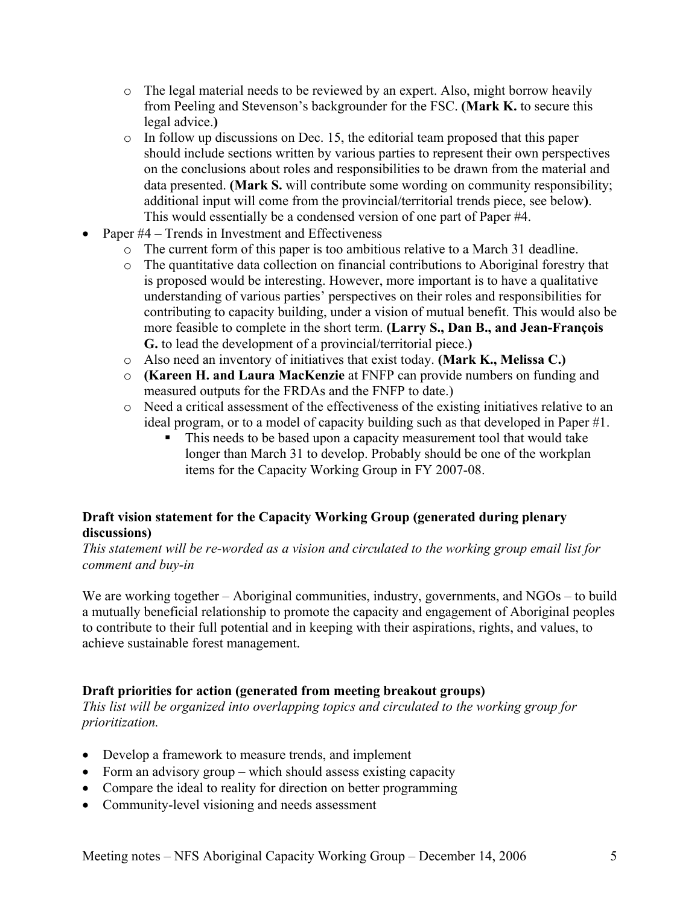- o The legal material needs to be reviewed by an expert. Also, might borrow heavily from Peeling and Stevenson's backgrounder for the FSC. **(Mark K.** to secure this legal advice.**)**
- $\circ$  In follow up discussions on Dec. 15, the editorial team proposed that this paper should include sections written by various parties to represent their own perspectives on the conclusions about roles and responsibilities to be drawn from the material and data presented. **(Mark S.** will contribute some wording on community responsibility; additional input will come from the provincial/territorial trends piece, see below**)**. This would essentially be a condensed version of one part of Paper #4.
- Paper #4 Trends in Investment and Effectiveness
	- o The current form of this paper is too ambitious relative to a March 31 deadline.
	- o The quantitative data collection on financial contributions to Aboriginal forestry that is proposed would be interesting. However, more important is to have a qualitative understanding of various parties' perspectives on their roles and responsibilities for contributing to capacity building, under a vision of mutual benefit. This would also be more feasible to complete in the short term. **(Larry S., Dan B., and Jean-François G.** to lead the development of a provincial/territorial piece.**)**
	- o Also need an inventory of initiatives that exist today. **(Mark K., Melissa C.)**
	- o **(Kareen H. and Laura MacKenzie** at FNFP can provide numbers on funding and measured outputs for the FRDAs and the FNFP to date.)
	- o Need a critical assessment of the effectiveness of the existing initiatives relative to an ideal program, or to a model of capacity building such as that developed in Paper #1.
		- This needs to be based upon a capacity measurement tool that would take longer than March 31 to develop. Probably should be one of the workplan items for the Capacity Working Group in FY 2007-08.

# **Draft vision statement for the Capacity Working Group (generated during plenary discussions)**

*This statement will be re-worded as a vision and circulated to the working group email list for comment and buy-in* 

We are working together – Aboriginal communities, industry, governments, and NGOs – to build a mutually beneficial relationship to promote the capacity and engagement of Aboriginal peoples to contribute to their full potential and in keeping with their aspirations, rights, and values, to achieve sustainable forest management.

#### **Draft priorities for action (generated from meeting breakout groups)**

*This list will be organized into overlapping topics and circulated to the working group for prioritization.* 

- Develop a framework to measure trends, and implement
- Form an advisory group which should assess existing capacity
- Compare the ideal to reality for direction on better programming
- Community-level visioning and needs assessment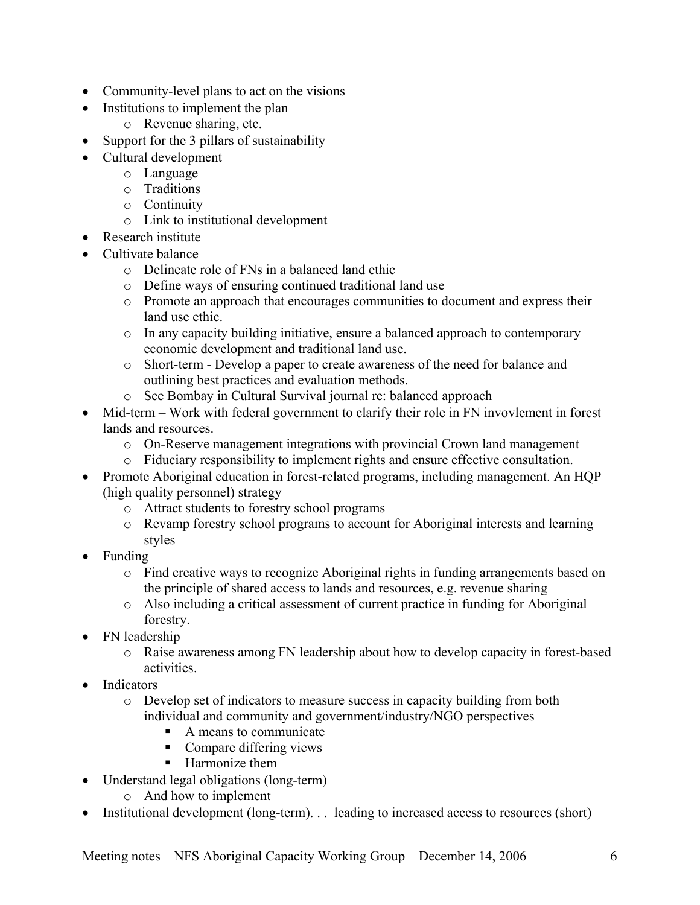- Community-level plans to act on the visions
- Institutions to implement the plan
	- o Revenue sharing, etc.
- Support for the 3 pillars of sustainability
- Cultural development
	- o Language
	- o Traditions
	- o Continuity
	- o Link to institutional development
- Research institute
- Cultivate balance
	- o Delineate role of FNs in a balanced land ethic
	- o Define ways of ensuring continued traditional land use
	- o Promote an approach that encourages communities to document and express their land use ethic.
	- o In any capacity building initiative, ensure a balanced approach to contemporary economic development and traditional land use.
	- o Short-term Develop a paper to create awareness of the need for balance and outlining best practices and evaluation methods.
	- o See Bombay in Cultural Survival journal re: balanced approach
- Mid-term Work with federal government to clarify their role in FN invovlement in forest lands and resources.
	- o On-Reserve management integrations with provincial Crown land management
	- o Fiduciary responsibility to implement rights and ensure effective consultation.
- Promote Aboriginal education in forest-related programs, including management. An HQP (high quality personnel) strategy
	- o Attract students to forestry school programs
	- o Revamp forestry school programs to account for Aboriginal interests and learning styles
- Funding
	- o Find creative ways to recognize Aboriginal rights in funding arrangements based on the principle of shared access to lands and resources, e.g. revenue sharing
	- o Also including a critical assessment of current practice in funding for Aboriginal forestry.
- FN leadership
	- o Raise awareness among FN leadership about how to develop capacity in forest-based activities.
- **Indicators** 
	- o Develop set of indicators to measure success in capacity building from both individual and community and government/industry/NGO perspectives
		- A means to communicate
		- Compare differing views
		- **Harmonize** them
- Understand legal obligations (long-term)
	- o And how to implement
- Institutional development (long-term). . . leading to increased access to resources (short)